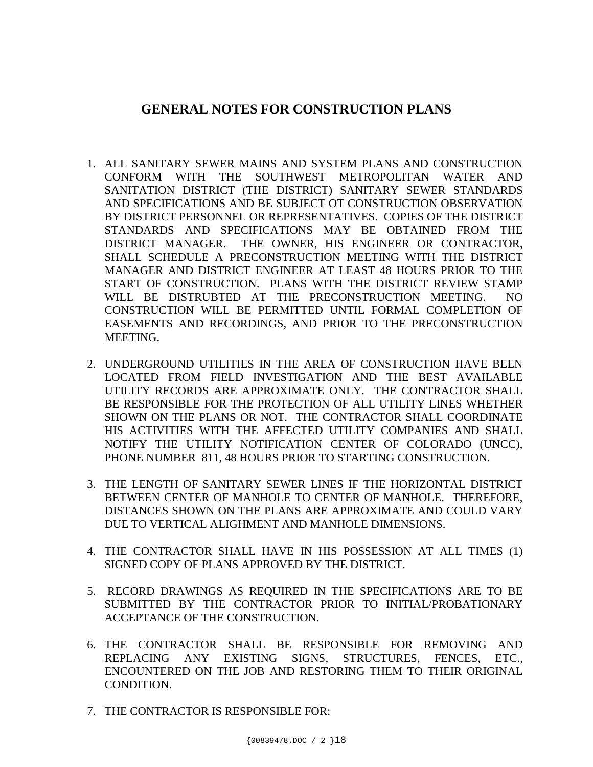## **GENERAL NOTES FOR CONSTRUCTION PLANS**

- 1. ALL SANITARY SEWER MAINS AND SYSTEM PLANS AND CONSTRUCTION CONFORM WITH THE SOUTHWEST METROPOLITAN WATER AND SANITATION DISTRICT (THE DISTRICT) SANITARY SEWER STANDARDS AND SPECIFICATIONS AND BE SUBJECT OT CONSTRUCTION OBSERVATION BY DISTRICT PERSONNEL OR REPRESENTATIVES. COPIES OF THE DISTRICT STANDARDS AND SPECIFICATIONS MAY BE OBTAINED FROM THE DISTRICT MANAGER. THE OWNER, HIS ENGINEER OR CONTRACTOR, SHALL SCHEDULE A PRECONSTRUCTION MEETING WITH THE DISTRICT MANAGER AND DISTRICT ENGINEER AT LEAST 48 HOURS PRIOR TO THE START OF CONSTRUCTION. PLANS WITH THE DISTRICT REVIEW STAMP WILL BE DISTRUBTED AT THE PRECONSTRUCTION MEETING. NO CONSTRUCTION WILL BE PERMITTED UNTIL FORMAL COMPLETION OF EASEMENTS AND RECORDINGS, AND PRIOR TO THE PRECONSTRUCTION MEETING.
- 2. UNDERGROUND UTILITIES IN THE AREA OF CONSTRUCTION HAVE BEEN LOCATED FROM FIELD INVESTIGATION AND THE BEST AVAILABLE UTILITY RECORDS ARE APPROXIMATE ONLY. THE CONTRACTOR SHALL BE RESPONSIBLE FOR THE PROTECTION OF ALL UTILITY LINES WHETHER SHOWN ON THE PLANS OR NOT. THE CONTRACTOR SHALL COORDINATE HIS ACTIVITIES WITH THE AFFECTED UTILITY COMPANIES AND SHALL NOTIFY THE UTILITY NOTIFICATION CENTER OF COLORADO (UNCC), PHONE NUMBER 811, 48 HOURS PRIOR TO STARTING CONSTRUCTION.
- 3. THE LENGTH OF SANITARY SEWER LINES IF THE HORIZONTAL DISTRICT BETWEEN CENTER OF MANHOLE TO CENTER OF MANHOLE. THEREFORE, DISTANCES SHOWN ON THE PLANS ARE APPROXIMATE AND COULD VARY DUE TO VERTICAL ALIGHMENT AND MANHOLE DIMENSIONS.
- 4. THE CONTRACTOR SHALL HAVE IN HIS POSSESSION AT ALL TIMES (1) SIGNED COPY OF PLANS APPROVED BY THE DISTRICT.
- 5. RECORD DRAWINGS AS REQUIRED IN THE SPECIFICATIONS ARE TO BE SUBMITTED BY THE CONTRACTOR PRIOR TO INITIAL/PROBATIONARY ACCEPTANCE OF THE CONSTRUCTION.
- 6. THE CONTRACTOR SHALL BE RESPONSIBLE FOR REMOVING AND REPLACING ANY EXISTING SIGNS, STRUCTURES, FENCES, ETC., ENCOUNTERED ON THE JOB AND RESTORING THEM TO THEIR ORIGINAL CONDITION.
- 7. THE CONTRACTOR IS RESPONSIBLE FOR: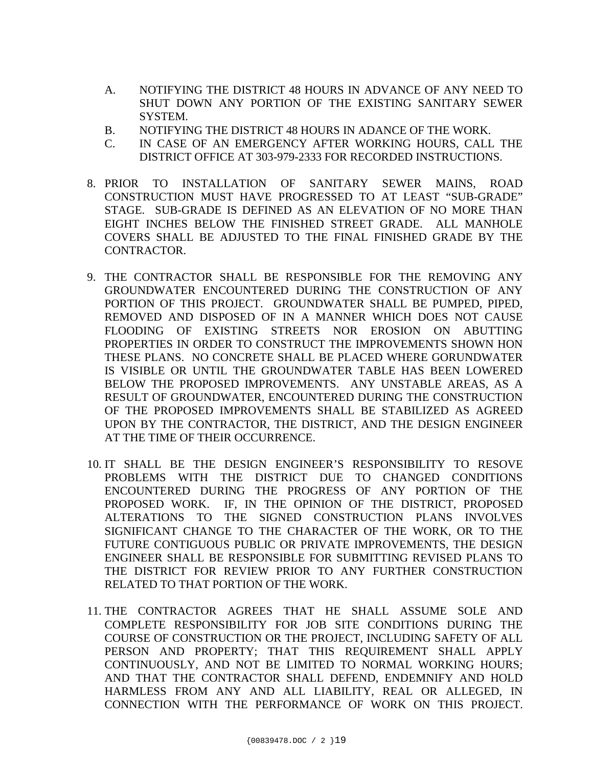- A. NOTIFYING THE DISTRICT 48 HOURS IN ADVANCE OF ANY NEED TO SHUT DOWN ANY PORTION OF THE EXISTING SANITARY SEWER SYSTEM.
- B. NOTIFYING THE DISTRICT 48 HOURS IN ADANCE OF THE WORK.
- C. IN CASE OF AN EMERGENCY AFTER WORKING HOURS, CALL THE DISTRICT OFFICE AT 303-979-2333 FOR RECORDED INSTRUCTIONS.
- 8. PRIOR TO INSTALLATION OF SANITARY SEWER MAINS, ROAD CONSTRUCTION MUST HAVE PROGRESSED TO AT LEAST "SUB-GRADE" STAGE. SUB-GRADE IS DEFINED AS AN ELEVATION OF NO MORE THAN EIGHT INCHES BELOW THE FINISHED STREET GRADE. ALL MANHOLE COVERS SHALL BE ADJUSTED TO THE FINAL FINISHED GRADE BY THE CONTRACTOR.
- 9. THE CONTRACTOR SHALL BE RESPONSIBLE FOR THE REMOVING ANY GROUNDWATER ENCOUNTERED DURING THE CONSTRUCTION OF ANY PORTION OF THIS PROJECT. GROUNDWATER SHALL BE PUMPED, PIPED, REMOVED AND DISPOSED OF IN A MANNER WHICH DOES NOT CAUSE FLOODING OF EXISTING STREETS NOR EROSION ON ABUTTING PROPERTIES IN ORDER TO CONSTRUCT THE IMPROVEMENTS SHOWN HON THESE PLANS. NO CONCRETE SHALL BE PLACED WHERE GORUNDWATER IS VISIBLE OR UNTIL THE GROUNDWATER TABLE HAS BEEN LOWERED BELOW THE PROPOSED IMPROVEMENTS. ANY UNSTABLE AREAS, AS A RESULT OF GROUNDWATER, ENCOUNTERED DURING THE CONSTRUCTION OF THE PROPOSED IMPROVEMENTS SHALL BE STABILIZED AS AGREED UPON BY THE CONTRACTOR, THE DISTRICT, AND THE DESIGN ENGINEER AT THE TIME OF THEIR OCCURRENCE.
- 10. IT SHALL BE THE DESIGN ENGINEER'S RESPONSIBILITY TO RESOVE PROBLEMS WITH THE DISTRICT DUE TO CHANGED CONDITIONS ENCOUNTERED DURING THE PROGRESS OF ANY PORTION OF THE PROPOSED WORK. IF, IN THE OPINION OF THE DISTRICT, PROPOSED ALTERATIONS TO THE SIGNED CONSTRUCTION PLANS INVOLVES SIGNIFICANT CHANGE TO THE CHARACTER OF THE WORK, OR TO THE FUTURE CONTIGUOUS PUBLIC OR PRIVATE IMPROVEMENTS, THE DESIGN ENGINEER SHALL BE RESPONSIBLE FOR SUBMITTING REVISED PLANS TO THE DISTRICT FOR REVIEW PRIOR TO ANY FURTHER CONSTRUCTION RELATED TO THAT PORTION OF THE WORK.
- 11. THE CONTRACTOR AGREES THAT HE SHALL ASSUME SOLE AND COMPLETE RESPONSIBILITY FOR JOB SITE CONDITIONS DURING THE COURSE OF CONSTRUCTION OR THE PROJECT, INCLUDING SAFETY OF ALL PERSON AND PROPERTY; THAT THIS REQUIREMENT SHALL APPLY CONTINUOUSLY, AND NOT BE LIMITED TO NORMAL WORKING HOURS; AND THAT THE CONTRACTOR SHALL DEFEND, ENDEMNIFY AND HOLD HARMLESS FROM ANY AND ALL LIABILITY, REAL OR ALLEGED, IN CONNECTION WITH THE PERFORMANCE OF WORK ON THIS PROJECT.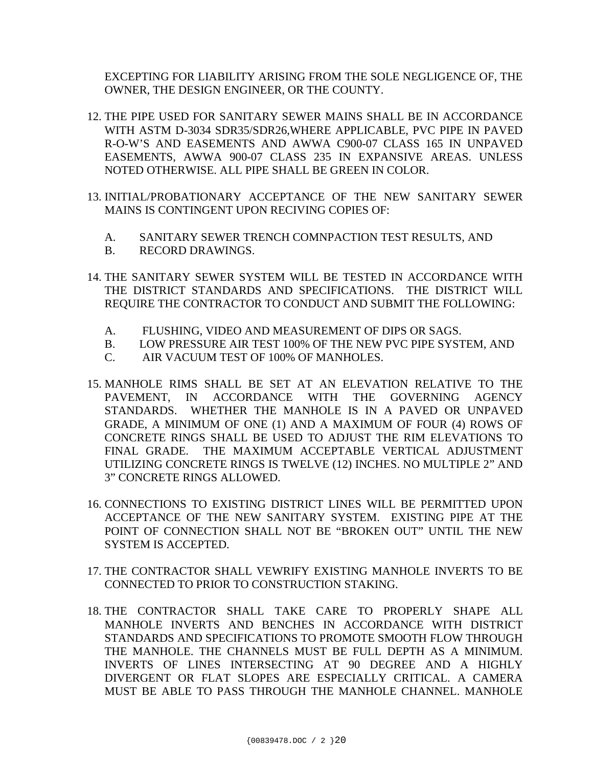EXCEPTING FOR LIABILITY ARISING FROM THE SOLE NEGLIGENCE OF, THE OWNER, THE DESIGN ENGINEER, OR THE COUNTY.

- 12. THE PIPE USED FOR SANITARY SEWER MAINS SHALL BE IN ACCORDANCE WITH ASTM D-3034 SDR35/SDR26,WHERE APPLICABLE, PVC PIPE IN PAVED R-O-W'S AND EASEMENTS AND AWWA C900-07 CLASS 165 IN UNPAVED EASEMENTS, AWWA 900-07 CLASS 235 IN EXPANSIVE AREAS. UNLESS NOTED OTHERWISE. ALL PIPE SHALL BE GREEN IN COLOR.
- 13. INITIAL/PROBATIONARY ACCEPTANCE OF THE NEW SANITARY SEWER MAINS IS CONTINGENT UPON RECIVING COPIES OF:
	- A. SANITARY SEWER TRENCH COMNPACTION TEST RESULTS, AND
	- B. RECORD DRAWINGS.
- 14. THE SANITARY SEWER SYSTEM WILL BE TESTED IN ACCORDANCE WITH THE DISTRICT STANDARDS AND SPECIFICATIONS. THE DISTRICT WILL REQUIRE THE CONTRACTOR TO CONDUCT AND SUBMIT THE FOLLOWING:
	- A. FLUSHING, VIDEO AND MEASUREMENT OF DIPS OR SAGS.
	- B. LOW PRESSURE AIR TEST 100% OF THE NEW PVC PIPE SYSTEM, AND
	- C. AIR VACUUM TEST OF 100% OF MANHOLES.
- 15. MANHOLE RIMS SHALL BE SET AT AN ELEVATION RELATIVE TO THE PAVEMENT, IN ACCORDANCE WITH THE GOVERNING AGENCY STANDARDS. WHETHER THE MANHOLE IS IN A PAVED OR UNPAVED GRADE, A MINIMUM OF ONE (1) AND A MAXIMUM OF FOUR (4) ROWS OF CONCRETE RINGS SHALL BE USED TO ADJUST THE RIM ELEVATIONS TO FINAL GRADE. THE MAXIMUM ACCEPTABLE VERTICAL ADJUSTMENT UTILIZING CONCRETE RINGS IS TWELVE (12) INCHES. NO MULTIPLE 2" AND 3" CONCRETE RINGS ALLOWED.
- 16. CONNECTIONS TO EXISTING DISTRICT LINES WILL BE PERMITTED UPON ACCEPTANCE OF THE NEW SANITARY SYSTEM. EXISTING PIPE AT THE POINT OF CONNECTION SHALL NOT BE "BROKEN OUT" UNTIL THE NEW SYSTEM IS ACCEPTED.
- 17. THE CONTRACTOR SHALL VEWRIFY EXISTING MANHOLE INVERTS TO BE CONNECTED TO PRIOR TO CONSTRUCTION STAKING.
- 18. THE CONTRACTOR SHALL TAKE CARE TO PROPERLY SHAPE ALL MANHOLE INVERTS AND BENCHES IN ACCORDANCE WITH DISTRICT STANDARDS AND SPECIFICATIONS TO PROMOTE SMOOTH FLOW THROUGH THE MANHOLE. THE CHANNELS MUST BE FULL DEPTH AS A MINIMUM. INVERTS OF LINES INTERSECTING AT 90 DEGREE AND A HIGHLY DIVERGENT OR FLAT SLOPES ARE ESPECIALLY CRITICAL. A CAMERA MUST BE ABLE TO PASS THROUGH THE MANHOLE CHANNEL. MANHOLE